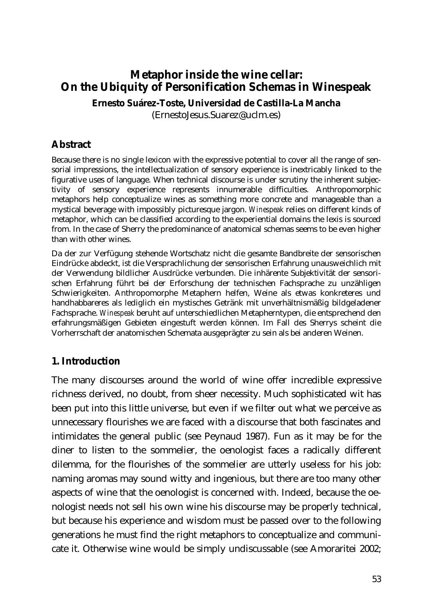# **Metaphor inside the wine cellar: On the Ubiquity of Personification Schemas in Winespeak**

**Ernesto Suárez-Toste, Universidad de Castilla-La Mancha** 

(ErnestoJesus.Suarez@uclm.es)

## **Abstract**

Because there is no single lexicon with the expressive potential to cover all the range of sensorial impressions, the intellectualization of sensory experience is inextricably linked to the figurative uses of language. When technical discourse is under scrutiny the inherent subjectivity of sensory experience represents innumerable difficulties. Anthropomorphic metaphors help conceptualize wines as something more concrete and manageable than a mystical beverage with impossibly picturesque jargon. *Winespeak* relies on different kinds of metaphor, which can be classified according to the experiential domains the lexis is sourced from. In the case of Sherry the predominance of anatomical schemas seems to be even higher than with other wines.

Da der zur Verfügung stehende Wortschatz nicht die gesamte Bandbreite der sensorischen Eindrücke abdeckt, ist die Versprachlichung der sensorischen Erfahrung unausweichlich mit der Verwendung bildlicher Ausdrücke verbunden. Die inhärente Subjektivität der sensorischen Erfahrung führt bei der Erforschung der technischen Fachsprache zu unzähligen Schwierigkeiten. Anthropomorphe Metaphern helfen, Weine als etwas konkreteres und handhabbareres als lediglich ein mystisches Getränk mit unverhältnismäßig bildgeladener Fachsprache. *Winespeak* beruht auf unterschiedlichen Metapherntypen, die entsprechend den erfahrungsmäßigen Gebieten eingestuft werden können. Im Fall des Sherrys scheint die Vorherrschaft der anatomischen Schemata ausgeprägter zu sein als bei anderen Weinen.

#### **1. Introduction**

The many discourses around the world of wine offer incredible expressive richness derived, no doubt, from sheer necessity. Much sophisticated wit has been put into this little universe, but even if we filter out what we perceive as unnecessary flourishes we are faced with a discourse that both fascinates and intimidates the general public (see Peynaud 1987). Fun as it may be for the diner to listen to the sommelier, the oenologist faces a radically different dilemma, for the flourishes of the sommelier are utterly useless for his job: naming aromas may sound witty and ingenious, but there are too many other aspects of wine that the oenologist is concerned with. Indeed, because the oenologist needs not sell his own wine his discourse may be properly technical, but because his experience and wisdom must be passed over to the following generations he must find the right metaphors to conceptualize and communicate it. Otherwise wine would be simply undiscussable (see Amoraritei 2002;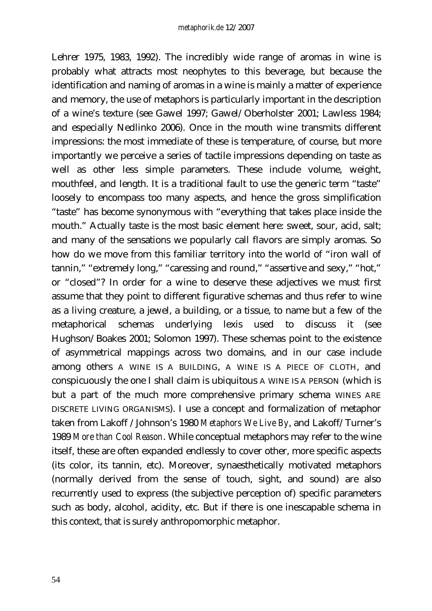Lehrer 1975, 1983, 1992). The incredibly wide range of aromas in wine is probably what attracts most neophytes to this beverage, but because the identification and naming of aromas in a wine is mainly a matter of experience and memory, the use of metaphors is particularly important in the description of a wine's texture (see Gawel 1997; Gawel/Oberholster 2001; Lawless 1984; and especially Nedlinko 2006). Once in the mouth wine transmits different impressions: the most immediate of these is temperature, of course, but more importantly we perceive a series of tactile impressions depending on taste as well as other less simple parameters. These include volume, weight, mouthfeel, and length. It is a traditional fault to use the generic term "taste" loosely to encompass too many aspects, and hence the gross simplification "taste" has become synonymous with "everything that takes place inside the mouth." Actually taste is the most basic element here: sweet, sour, acid, salt; and many of the sensations we popularly call flavors are simply aromas. So how do we move from this familiar territory into the world of "iron wall of tannin," "extremely long," "caressing and round," "assertive and sexy," "hot," or "closed"? In order for a wine to deserve these adjectives we must first assume that they point to different figurative schemas and thus refer to wine as a living creature, a jewel, a building, or a tissue, to name but a few of the metaphorical schemas underlying lexis used to discuss it (see Hughson/Boakes 2001; Solomon 1997). These schemas point to the existence of asymmetrical mappings across two domains, and in our case include among others A WINE IS A BUILDING, A WINE IS A PIECE OF CLOTH, and conspicuously the one I shall claim is ubiquitous A WINE IS A PERSON (which is but a part of the much more comprehensive primary schema WINES ARE DISCRETE LIVING ORGANISMS). I use a concept and formalization of metaphor taken from Lakoff /Johnson's 1980 *Metaphors We Live By*, and Lakoff/Turner's 1989 *More than Cool Reason*. While conceptual metaphors may refer to the wine itself, these are often expanded endlessly to cover other, more specific aspects (its color, its tannin, etc). Moreover, synaesthetically motivated metaphors (normally derived from the sense of touch, sight, and sound) are also recurrently used to express (the subjective perception of) specific parameters such as body, alcohol, acidity, etc. But if there is one inescapable schema in this context, that is surely anthropomorphic metaphor.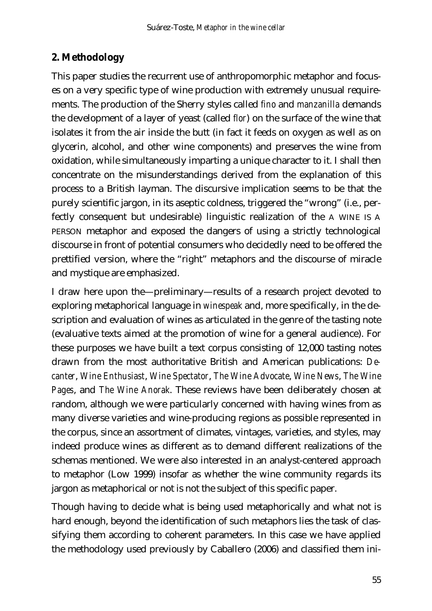# **2. Methodology**

This paper studies the recurrent use of anthropomorphic metaphor and focuses on a very specific type of wine production with extremely unusual requirements. The production of the Sherry styles called *fino* and *manzanilla* demands the development of a layer of yeast (called *flor*) on the surface of the wine that isolates it from the air inside the butt (in fact it feeds on oxygen as well as on glycerin, alcohol, and other wine components) and preserves the wine from oxidation, while simultaneously imparting a unique character to it. I shall then concentrate on the misunderstandings derived from the explanation of this process to a British layman. The discursive implication seems to be that the purely scientific jargon, in its aseptic coldness, triggered the "wrong" (i.e., perfectly consequent but undesirable) linguistic realization of the A WINE IS A PERSON metaphor and exposed the dangers of using a strictly technological discourse in front of potential consumers who decidedly need to be offered the prettified version, where the "right" metaphors and the discourse of miracle and mystique are emphasized.

I draw here upon the—preliminary—results of a research project devoted to exploring metaphorical language in *winespeak* and, more specifically, in the description and evaluation of wines as articulated in the genre of the tasting note (evaluative texts aimed at the promotion of wine for a general audience). For these purposes we have built a text corpus consisting of 12,000 tasting notes drawn from the most authoritative British and American publications: *Decanter*, *Wine Enthusiast*, *Wine Spectator*, *The Wine Advocate*, *Wine News*, *The Wine Pages*, and *The Wine Anorak*. These reviews have been deliberately chosen at random, although we were particularly concerned with having wines from as many diverse varieties and wine-producing regions as possible represented in the corpus, since an assortment of climates, vintages, varieties, and styles, may indeed produce wines as different as to demand different realizations of the schemas mentioned. We were also interested in an analyst-centered approach to metaphor (Low 1999) insofar as whether the wine community regards its jargon as metaphorical or not is not the subject of this specific paper.

Though having to decide what is being used metaphorically and what not is hard enough, beyond the identification of such metaphors lies the task of classifying them according to coherent parameters. In this case we have applied the methodology used previously by Caballero (2006) and classified them ini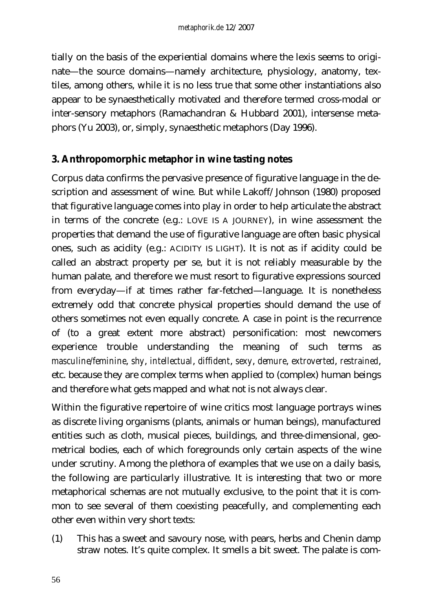tially on the basis of the experiential domains where the lexis seems to originate—the source domains—namely architecture, physiology, anatomy, textiles, among others, while it is no less true that some other instantiations also appear to be synaesthetically motivated and therefore termed cross-modal or inter-sensory metaphors (Ramachandran & Hubbard 2001), intersense metaphors (Yu 2003), or, simply, synaesthetic metaphors (Day 1996).

#### **3. Anthropomorphic metaphor in wine tasting notes**

Corpus data confirms the pervasive presence of figurative language in the description and assessment of wine. But while Lakoff/Johnson (1980) proposed that figurative language comes into play in order to help articulate the abstract in terms of the concrete (e.g.: LOVE IS A JOURNEY), in wine assessment the properties that demand the use of figurative language are often basic physical ones, such as acidity (e.g.: ACIDITY IS LIGHT). It is not as if acidity could be called an abstract property per se, but it is not reliably measurable by the human palate, and therefore we must resort to figurative expressions sourced from everyday—if at times rather far-fetched—language. It is nonetheless extremely odd that concrete physical properties should demand the use of others sometimes not even equally concrete. A case in point is the recurrence of (to a great extent more abstract) personification: most newcomers experience trouble understanding the meaning of such terms as *masculine/feminine*, *shy*, *intellectual*, *diffident*, *sexy*, *demure*, *extroverted*, *restrained*, etc. because they are complex terms when applied to (complex) human beings and therefore what gets mapped and what not is not always clear.

Within the figurative repertoire of wine critics most language portrays wines as discrete living organisms (plants, animals or human beings), manufactured entities such as cloth, musical pieces, buildings, and three-dimensional, geometrical bodies, each of which foregrounds only certain aspects of the wine under scrutiny. Among the plethora of examples that we use on a daily basis, the following are particularly illustrative. It is interesting that two or more metaphorical schemas are not mutually exclusive, to the point that it is common to see several of them coexisting peacefully, and complementing each other even within very short texts:

(1) This has a sweet and savoury nose, with pears, herbs and Chenin damp straw notes. It's quite complex. It smells a bit sweet. The palate is com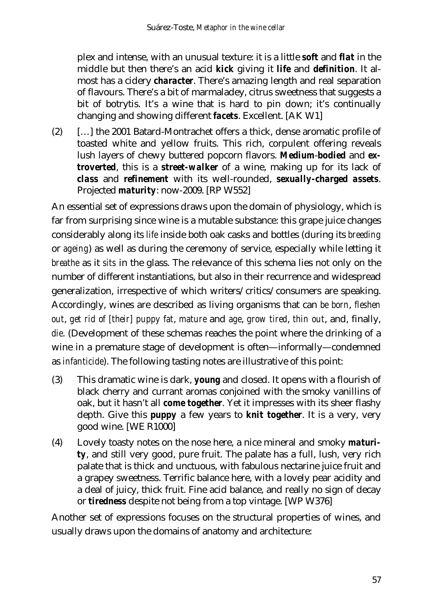plex and intense, with an unusual texture: it is a little *soft* and *flat* in the middle but then there's an acid *kick* giving it *life* and *definition*. It almost has a cidery *character*. There's amazing length and real separation of flavours. There's a bit of marmaladey, citrus sweetness that suggests a bit of botrytis. It's a wine that is hard to pin down; it's continually changing and showing different *facets*. Excellent. [AK W1]

(2) […] the 2001 Batard-Montrachet offers a thick, dense aromatic profile of toasted white and yellow fruits. This rich, corpulent offering reveals lush layers of chewy buttered popcorn flavors. *Medium*-*bodied* and *extroverted*, this is a *street-walker* of a wine, making up for its lack of *class* and *refinement* with its well-rounded, *sexually-charged assets*. Projected *maturity*: now-2009. [RP W552]

An essential set of expressions draws upon the domain of physiology, which is far from surprising since wine is a mutable substance: this grape juice changes considerably along its *life* inside both oak casks and bottles (during its *breeding* or *ageing*) as well as during the ceremony of service, especially while letting it *breathe* as it *sits* in the glass. The relevance of this schema lies not only on the number of different instantiations, but also in their recurrence and widespread generalization, irrespective of which writers/critics/consumers are speaking. Accordingly, wines are described as living organisms that can *be born*, *fleshen out*, *get rid of [their] puppy fat*, *mature* and *age*, *grow tired*, *thin out*, and, finally, *die*. (Development of these schemas reaches the point where the drinking of a wine in a premature stage of development is often—informally—condemned as *infanticide*). The following tasting notes are illustrative of this point:

- (3) This dramatic wine is dark, *young* and closed. It opens with a flourish of black cherry and currant aromas conjoined with the smoky vanillins of oak, but it hasn't all *come together*. Yet it impresses with its sheer flashy depth. Give this *puppy* a few years to *knit together*. It is a very, very good wine. [WE R1000]
- (4) Lovely toasty notes on the nose here, a nice mineral and smoky *maturity*, and still very good, pure fruit. The palate has a full, lush, very rich palate that is thick and unctuous, with fabulous nectarine juice fruit and a grapey sweetness. Terrific balance here, with a lovely pear acidity and a deal of juicy, thick fruit. Fine acid balance, and really no sign of decay or *tiredness* despite not being from a top vintage. [WP W376]

Another set of expressions focuses on the structural properties of wines, and usually draws upon the domains of anatomy and architecture: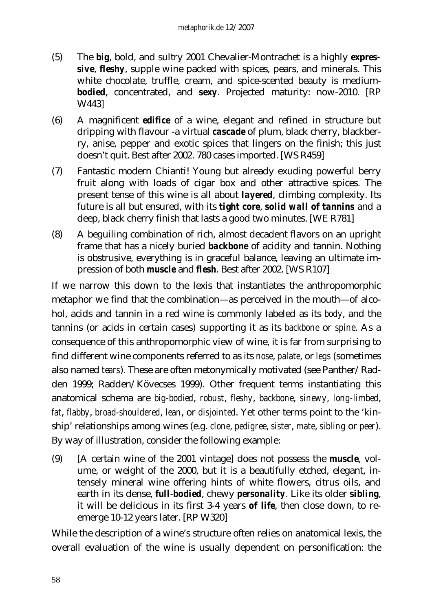- (5) The *big*, bold, and sultry 2001 Chevalier-Montrachet is a highly *expressive*, *fleshy*, supple wine packed with spices, pears, and minerals. This white chocolate, truffle, cream, and spice-scented beauty is medium*bodied*, concentrated, and *sexy*. Projected maturity: now-2010. [RP W443]
- (6) A magnificent *edifice* of a wine, elegant and refined in structure but dripping with flavour -a virtual *cascade* of plum, black cherry, blackberry, anise, pepper and exotic spices that lingers on the finish; this just doesn't quit. Best after 2002. 780 cases imported. [WS R459]
- (7) Fantastic modern Chianti! Young but already exuding powerful berry fruit along with loads of cigar box and other attractive spices. The present tense of this wine is all about *layered*, climbing complexity. Its future is all but ensured, with its *tight core*, *solid wall of tannins* and a deep, black cherry finish that lasts a good two minutes. [WE R781]
- (8) A beguiling combination of rich, almost decadent flavors on an upright frame that has a nicely buried *backbone* of acidity and tannin. Nothing is obstrusive, everything is in graceful balance, leaving an ultimate impression of both *muscle* and *flesh*. Best after 2002. [WS R107]

If we narrow this down to the lexis that instantiates the anthropomorphic metaphor we find that the combination—as perceived in the mouth—of alcohol, acids and tannin in a red wine is commonly labeled as its *body*, and the tannins (or acids in certain cases) supporting it as its *backbone* or *spine*. As a consequence of this anthropomorphic view of wine, it is far from surprising to find different wine components referred to as its *nose*, *palate*, or *legs* (sometimes also named *tears*)*.* These are often metonymically motivated (see Panther/Radden 1999; Radden/Kövecses 1999). Other frequent terms instantiating this anatomical schema are *big-bodied*, *robust*, *fleshy*, *backbone*, *sinewy*, *long-limbed*, *fat*, *flabby*, *broad-shouldered*, *lean*, or *disjointed*. Yet other terms point to the 'kinship' relationships among wines (e.g. *clone*, *pedigree*, *sister*, *mate*, *sibling* or *peer*). By way of illustration, consider the following example:

(9) [A certain wine of the 2001 vintage] does not possess the *muscle*, volume, or weight of the 2000, but it is a beautifully etched, elegant, intensely mineral wine offering hints of white flowers, citrus oils, and earth in its dense, *full*-*bodied*, chewy *personality*. Like its older *sibling*, it will be delicious in its first 3-4 years *of life*, then close down, to reemerge 10-12 years later. [RP W320]

While the description of a wine's structure often relies on anatomical lexis, the overall evaluation of the wine is usually dependent on personification: the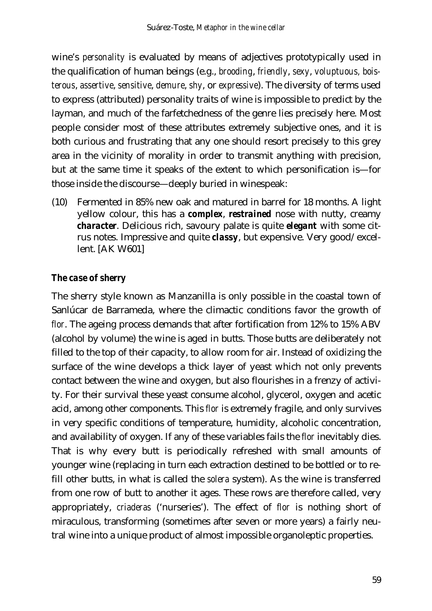wine's *personality* is evaluated by means of adjectives prototypically used in the qualification of human beings (e.g., *brooding*, *friendly*, *sexy*, *voluptuous, boisterous*, *assertive*, *sensitive*, *demure*, *shy*, or *expressive*). The diversity of terms used to express (attributed) personality traits of wine is impossible to predict by the layman, and much of the farfetchedness of the genre lies precisely here. Most people consider most of these attributes extremely subjective ones, and it is both curious and frustrating that any one should resort precisely to this grey area in the vicinity of morality in order to transmit anything with precision, but at the same time it speaks of the extent to which personification is—for those inside the discourse—deeply buried in winespeak:

(10) Fermented in 85% new oak and matured in barrel for 18 months. A light yellow colour, this has a *complex*, *restrained* nose with nutty, creamy *character*. Delicious rich, savoury palate is quite *elegant* with some citrus notes. Impressive and quite *classy*, but expensive. Very good/excellent. [AK W601]

#### *The case of sherry*

The sherry style known as Manzanilla is only possible in the coastal town of Sanlúcar de Barrameda, where the climactic conditions favor the growth of *flor*. The ageing process demands that after fortification from 12% to 15% ABV (alcohol by volume) the wine is aged in butts. Those butts are deliberately not filled to the top of their capacity, to allow room for air. Instead of oxidizing the surface of the wine develops a thick layer of yeast which not only prevents contact between the wine and oxygen, but also flourishes in a frenzy of activity. For their survival these yeast consume alcohol, glycerol, oxygen and acetic acid, among other components. This *flor* is extremely fragile, and only survives in very specific conditions of temperature, humidity, alcoholic concentration, and availability of oxygen. If any of these variables fails the *flor* inevitably dies. That is why every butt is periodically refreshed with small amounts of younger wine (replacing in turn each extraction destined to be bottled or to refill other butts, in what is called the *solera* system). As the wine is transferred from one row of butt to another it ages. These rows are therefore called, very appropriately, *criaderas* ('nurseries'). The effect of *flor* is nothing short of miraculous, transforming (sometimes after seven or more years) a fairly neutral wine into a unique product of almost impossible organoleptic properties.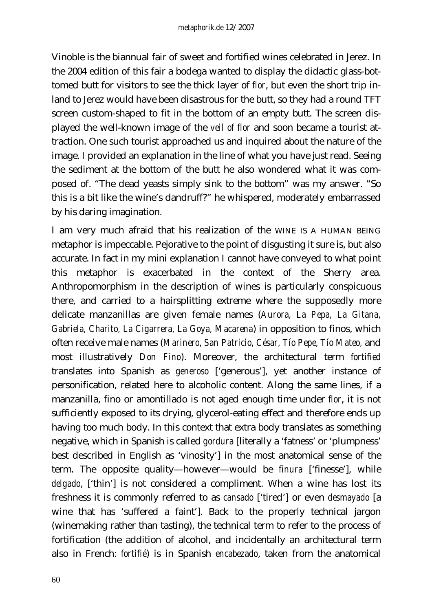Vinoble is the biannual fair of sweet and fortified wines celebrated in Jerez. In the 2004 edition of this fair a bodega wanted to display the didactic glass-bottomed butt for visitors to see the thick layer of *flor*, but even the short trip inland to Jerez would have been disastrous for the butt, so they had a round TFT screen custom-shaped to fit in the bottom of an empty butt. The screen displayed the well-known image of the *veil of flor* and soon became a tourist attraction. One such tourist approached us and inquired about the nature of the image. I provided an explanation in the line of what you have just read. Seeing the sediment at the bottom of the butt he also wondered what it was composed of. "The dead yeasts simply sink to the bottom" was my answer. "So this is a bit like the wine's dandruff?" he whispered, moderately embarrassed by his daring imagination.

I am very much afraid that his realization of the WINE IS A HUMAN BEING metaphor is impeccable. Pejorative to the point of disgusting it sure is, but also accurate. In fact in my mini explanation I cannot have conveyed to what point this metaphor is exacerbated in the context of the Sherry area. Anthropomorphism in the description of wines is particularly conspicuous there, and carried to a hairsplitting extreme where the supposedly more delicate manzanillas are given female names (*Aurora, La Pepa, La Gitana, Gabriela, Charito, La Cigarrera, La Goya, Macarena*) in opposition to finos, which often receive male names (*Marinero, San Patricio, César, Tío Pepe, Tío Mateo,* and most illustratively *Don Fino*). Moreover, the architectural term *fortified* translates into Spanish as *generoso* ['generous'], yet another instance of personification, related here to alcoholic content. Along the same lines, if a manzanilla, fino or amontillado is not aged enough time under *flor*, it is not sufficiently exposed to its drying, glycerol-eating effect and therefore ends up having too much body. In this context that extra body translates as something negative, which in Spanish is called *gordura* [literally a 'fatness' or 'plumpness' best described in English as 'vinosity'] in the most anatomical sense of the term. The opposite quality—however—would be *finura* ['finesse'], while *delgado*, ['thin'] is not considered a compliment. When a wine has lost its freshness it is commonly referred to as *cansado* ['tired'] or even *desmayado* [a wine that has 'suffered a faint']. Back to the properly technical jargon (winemaking rather than tasting), the technical term to refer to the process of fortification (the addition of alcohol, and incidentally an architectural term also in French: *fortifié*) is in Spanish *encabezado*, taken from the anatomical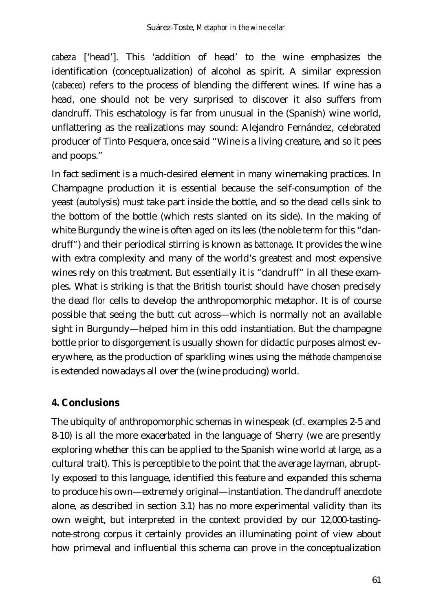*cabeza* ['head']. This 'addition of head' to the wine emphasizes the identification (conceptualization) of alcohol as spirit. A similar expression (*cabeceo*) refers to the process of blending the different wines. If wine has a head, one should not be very surprised to discover it also suffers from dandruff. This eschatology is far from unusual in the (Spanish) wine world, unflattering as the realizations may sound: Alejandro Fernández, celebrated producer of Tinto Pesquera, once said "Wine is a living creature, and so it pees and poops."

In fact sediment is a much-desired element in many winemaking practices. In Champagne production it is essential because the self-consumption of the yeast (autolysis) must take part inside the bottle, and so the dead cells sink to the bottom of the bottle (which rests slanted on its side). In the making of white Burgundy the wine is often aged on its *lees* (the noble term for this "dandruff") and their periodical stirring is known as *battonage*. It provides the wine with extra complexity and many of the world's greatest and most expensive wines rely on this treatment. But essentially it *is* "dandruff" in all these examples. What is striking is that the British tourist should have chosen precisely the dead *flor* cells to develop the anthropomorphic metaphor. It is of course possible that seeing the butt cut across—which is normally not an available sight in Burgundy—helped him in this odd instantiation. But the champagne bottle prior to disgorgement is usually shown for didactic purposes almost everywhere, as the production of sparkling wines using the *méthode champenoise* is extended nowadays all over the (wine producing) world.

#### **4. Conclusions**

The ubiquity of anthropomorphic schemas in winespeak (cf. examples 2-5 and 8-10) is all the more exacerbated in the language of Sherry (we are presently exploring whether this can be applied to the Spanish wine world at large, as a cultural trait). This is perceptible to the point that the average layman, abruptly exposed to this language, identified this feature and expanded this schema to produce his own—extremely original—instantiation. The dandruff anecdote alone, as described in section 3.1) has no more experimental validity than its own weight, but interpreted in the context provided by our 12,000-tastingnote-strong corpus it certainly provides an illuminating point of view about how primeval and influential this schema can prove in the conceptualization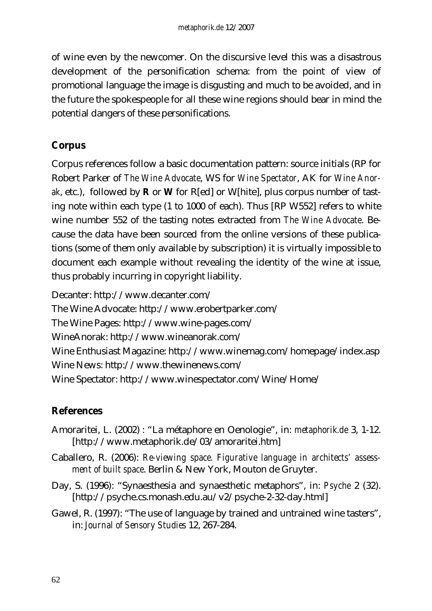of wine even by the newcomer. On the discursive level this was a disastrous development of the personification schema: from the point of view of promotional language the image is disgusting and much to be avoided, and in the future the spokespeople for all these wine regions should bear in mind the potential dangers of these personifications.

### **Corpus**

Corpus references follow a basic documentation pattern: source initials (RP for Robert Parker of *The Wine Advocate*, WS for *Wine Spectator*, AK for *Wine Anorak*, etc.), followed by **R** or **W** for R[ed] or W[hite], plus corpus number of tasting note within each type (1 to 1000 of each). Thus [RP W552] refers to white wine number 552 of the tasting notes extracted from *The Wine Advocate*. Because the data have been sourced from the online versions of these publications (some of them only available by subscription) it is virtually impossible to document each example without revealing the identity of the wine at issue, thus probably incurring in copyright liability.

Decanter: http://www.decanter.com/ The Wine Advocate: http://www.erobertparker.com/ The Wine Pages: http://www.wine-pages.com/ WineAnorak: http://www.wineanorak.com/ Wine Enthusiast Magazine: http://www.winemag.com/homepage/index.asp Wine News: http://www.thewinenews.com/ Wine Spectator: http://www.winespectator.com/Wine/Home/

## **References**

- Amoraritei, L. (2002) : "La métaphore en Oenologie", in: *metaphorik.de* 3, 1-12. [http://www.metaphorik.de/03/amoraritei.htm]
- Caballero, R. (2006): *Re-viewing space. Figurative language in architects' assessment of built space*. Berlin & New York, Mouton de Gruyter.
- Day, S. (1996): "Synaesthesia and synaesthetic metaphors", in: *Psyche* 2 (32). [http://psyche.cs.monash.edu.au/v2/psyche-2-32-day.html]
- Gawel, R. (1997): "The use of language by trained and untrained wine tasters", in: *Journal of Sensory Studies* 12, 267-284.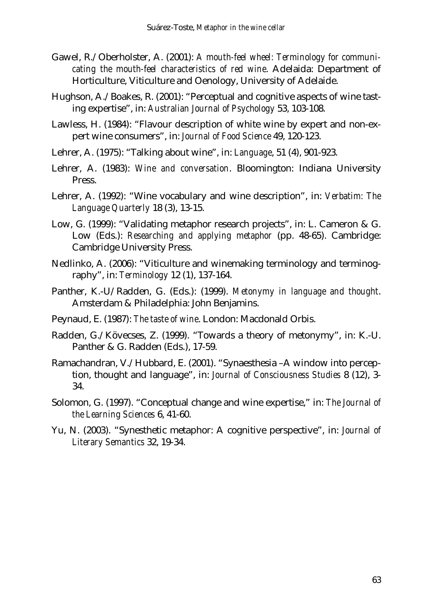- Gawel, R./Oberholster, A. (2001): *A mouth-feel wheel: Terminology for communicating the mouth-feel characteristics of red wine*. Adelaida: Department of Horticulture, Viticulture and Oenology, University of Adelaide.
- Hughson, A./Boakes, R. (2001): "Perceptual and cognitive aspects of wine tasting expertise", in: *Australian Journal of Psychology* 53, 103-108.
- Lawless, H. (1984): "Flavour description of white wine by expert and non-expert wine consumers", in: *Journal of Food Science* 49, 120-123.
- Lehrer, A. (1975): "Talking about wine", in: *Language*, 51 (4), 901-923.
- Lehrer, A. (1983): *Wine and conversation*. Bloomington: Indiana University Press.
- Lehrer, A. (1992): "Wine vocabulary and wine description", in: *Verbatim: The Language Quarterly* 18 (3), 13-15.
- Low, G. (1999): "Validating metaphor research projects", in: L. Cameron & G. Low (Eds.): *Researching and applying metaphor* (pp. 48-65). Cambridge: Cambridge University Press.
- Nedlinko, A. (2006): "Viticulture and winemaking terminology and terminography", in: *Terminology* 12 (1), 137-164.
- Panther, K.-U/Radden, G. (Eds.): (1999). *Metonymy in language and thought*. Amsterdam & Philadelphia: John Benjamins.
- Peynaud, E. (1987): *The taste of wine*. London: Macdonald Orbis.
- Radden, G./Kövecses, Z. (1999). "Towards a theory of metonymy", in: K.-U. Panther & G. Radden (Eds.), 17-59.
- Ramachandran, V./Hubbard, E. (2001). "Synaesthesia –A window into perception, thought and language", in: *Journal of Consciousness Studies* 8 (12), 3- 34.
- Solomon, G. (1997). "Conceptual change and wine expertise," in: *The Journal of the Learning Sciences* 6, 41-60.
- Yu, N. (2003). "Synesthetic metaphor: A cognitive perspective", in: *Journal of Literary Semantics* 32, 19-34.